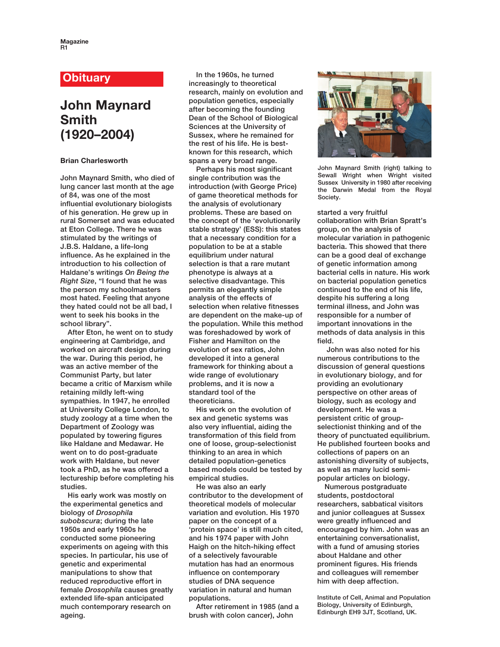## **Obituary**

## **John Maynard Smith (1920–2004)**

## **Brian Charlesworth**

**John Maynard Smith, who died of lung cancer last month at the age of 84, was one of the most influential evolutionary biologists of his generation. He grew up in rural Somerset and was educated at Eton College. There he was stimulated by the writings of J.B.S. Haldane, a life-long influence. As he explained in the introduction to his collection of Haldane's writings** *On Being the Right Size***, "I found that he was the person my schoolmasters most hated. Feeling that anyone they hated could not be all bad, I went to seek his books in the school library".** 

**After Eton, he went on to study engineering at Cambridge, and worked on aircraft design during the war. During this period, he was an active member of the Communist Party, but later became a critic of Marxism while retaining mildly left-wing sympathies. In 1947, he enrolled at University College London, to study zoology at a time when the Department of Zoology was populated by towering figures like Haldane and Medawar. He went on to do post-graduate work with Haldane, but never took a PhD, as he was offered a lectureship before completing his studies.** 

**His early work was mostly on the experimental genetics and biology of** *Drosophila subobscura***; during the late 1950s and early 1960s he conducted some pioneering experiments on ageing with this species. In particular, his use of genetic and experimental manipulations to show that reduced reproductive effort in female** *Drosophila* **causes greatly extended life-span anticipated much contemporary research on ageing.** 

**In the 1960s, he turned increasingly to theoretical research, mainly on evolution and population genetics, especially after becoming the founding Dean of the School of Biological Sciences at the University of Sussex, where he remained for the rest of his life. He is bestknown for this research, which spans a very broad range.**

**Perhaps his most significant single contribution was the introduction (with George Price) of game theoretical methods for the analysis of evolutionary problems. These are based on the concept of the 'evolutionarily stable strategy' (ESS): this states that a necessary condition for a population to be at a stable equilibrium under natural selection is that a rare mutant phenotype is always at a selective disadvantage. This permits an elegantly simple analysis of the effects of selection when relative fitnesses are dependent on the make-up of the population. While this method was foreshadowed by work of Fisher and Hamilton on the evolution of sex ratios, John developed it into a general framework for thinking about a wide range of evolutionary problems, and it is now a standard tool of the theoreticians.** 

**His work on the evolution of sex and genetic systems was also very influential, aiding the transformation of this field from one of loose, group-selectionist thinking to an area in which detailed population-genetics based models could be tested by empirical studies.** 

**He was also an early contributor to the development of theoretical models of molecular variation and evolution. His 1970 paper on the concept of a 'protein space' is still much cited, and his 1974 paper with John Haigh on the hitch-hiking effect of a selectively favourable mutation has had an enormous influence on contemporary studies of DNA sequence variation in natural and human populations.** 

**After retirement in 1985 (and a brush with colon cancer), John**



**John Maynard Smith (right) talking to Sewall Wright when Wright visited Sussex University in 1980 after receiving the Darwin Medal from the Royal Society.**

**started a very fruitful collaboration with Brian Spratt's group, on the analysis of molecular variation in pathogenic bacteria. This showed that there can be a good deal of exchange of genetic information among bacterial cells in nature. His work on bacterial population genetics continued to the end of his life, despite his suffering a long terminal illness, and John was responsible for a number of important innovations in the methods of data analysis in this field.**

**John was also noted for his numerous contributions to the discussion of general questions in evolutionary biology, and for providing an evolutionary perspective on other areas of biology, such as ecology and development. He was a persistent critic of groupselectionist thinking and of the theory of punctuated equilibrium. He published fourteen books and collections of papers on an astonishing diversity of subjects, as well as many lucid semipopular articles on biology.** 

**Numerous postgraduate students, postdoctoral researchers, sabbatical visitors and junior colleagues at Sussex were greatly influenced and encouraged by him. John was an entertaining conversationalist, with a fund of amusing stories about Haldane and other prominent figures. His friends and colleagues will remember him with deep affection.**

**Institute of Cell, Animal and Population Biology, University of Edinburgh, Edinburgh EH9 3JT, Scotland, UK.**